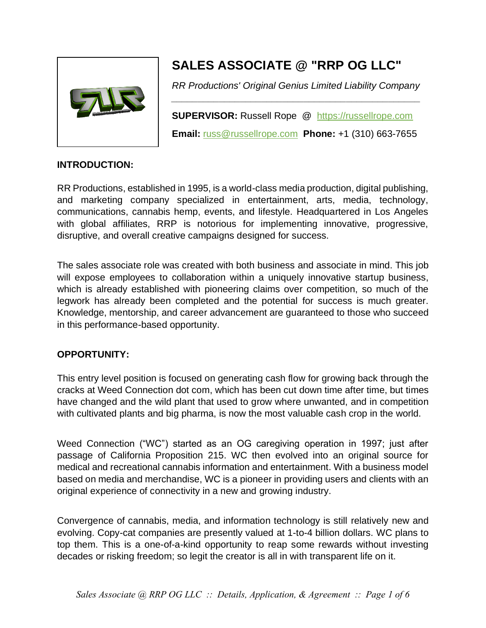

# **SALES ASSOCIATE @ "RRP OG LLC"**

*RR Productions' Original Genius Limited Liability Company \_\_\_\_\_\_\_\_\_\_\_\_\_\_\_\_\_\_\_\_\_\_\_\_\_\_\_\_\_\_\_\_\_\_\_\_\_\_\_\_\_\_\_\_\_\_\_*

**SUPERVISOR:** Russell Rope @ [https://russellrope.com](https://russellrope.com/) **Email:** [russ@russellrope.com](mailto:russ@russellrope.com) **Phone:** +1 (310) 663-7655

### **INTRODUCTION:**

RR Productions, established in 1995, is a world-class media production, digital publishing, and marketing company specialized in entertainment, arts, media, technology, communications, cannabis hemp, events, and lifestyle. Headquartered in Los Angeles with global affiliates, RRP is notorious for implementing innovative, progressive, disruptive, and overall creative campaigns designed for success.

The sales associate role was created with both business and associate in mind. This job will expose employees to collaboration within a uniquely innovative startup business, which is already established with pioneering claims over competition, so much of the legwork has already been completed and the potential for success is much greater. Knowledge, mentorship, and career advancement are guaranteed to those who succeed in this performance-based opportunity.

### **OPPORTUNITY:**

This entry level position is focused on generating cash flow for growing back through the cracks at Weed Connection dot com, which has been cut down time after time, but times have changed and the wild plant that used to grow where unwanted, and in competition with cultivated plants and big pharma, is now the most valuable cash crop in the world.

Weed Connection ("WC") started as an OG caregiving operation in 1997; just after passage of California Proposition 215. WC then evolved into an original source for medical and recreational cannabis information and entertainment. With a business model based on media and merchandise, WC is a pioneer in providing users and clients with an original experience of connectivity in a new and growing industry.

Convergence of cannabis, media, and information technology is still relatively new and evolving. Copy-cat companies are presently valued at 1-to-4 billion dollars. WC plans to top them. This is a one-of-a-kind opportunity to reap some rewards without investing decades or risking freedom; so legit the creator is all in with transparent life on it.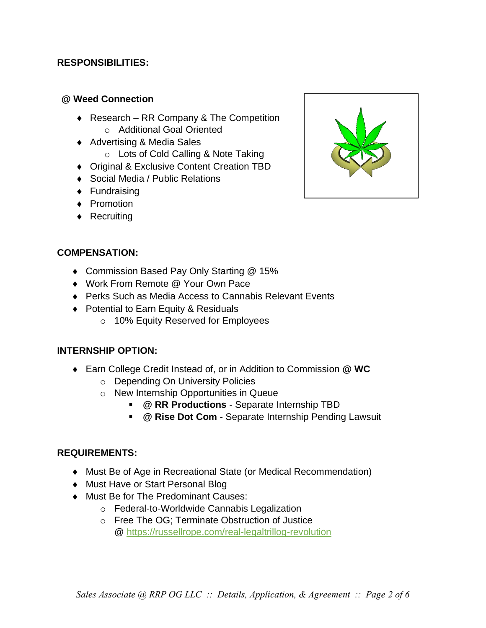### **RESPONSIBILITIES:**

#### **@ Weed Connection**

- ◆ Research RR Company & The Competition o Additional Goal Oriented
- Advertising & Media Sales
	- o Lots of Cold Calling & Note Taking
- ◆ Original & Exclusive Content Creation TBD
- ◆ Social Media / Public Relations
- ◆ Fundraising
- ◆ Promotion
- ◆ Recruiting



### **COMPENSATION:**

- ◆ Commission Based Pay Only Starting @ 15%
- Work From Remote @ Your Own Pace
- ◆ Perks Such as Media Access to Cannabis Relevant Events
- ◆ Potential to Earn Equity & Residuals
	- o 10% Equity Reserved for Employees

### **INTERNSHIP OPTION:**

- Earn College Credit Instead of, or in Addition to Commission **@ WC**
	- o Depending On University Policies
	- o New Internship Opportunities in Queue
		- **@ RR Productions** Separate Internship TBD
		- **@ Rise Dot Com** Separate Internship Pending Lawsuit

### **REQUIREMENTS:**

- Must Be of Age in Recreational State (or Medical Recommendation)
- ◆ Must Have or Start Personal Blog
- ◆ Must Be for The Predominant Causes:
	- o Federal-to-Worldwide Cannabis Legalization
	- o Free The OG; Terminate Obstruction of Justice @<https://russellrope.com/real-legaltrillog-revolution>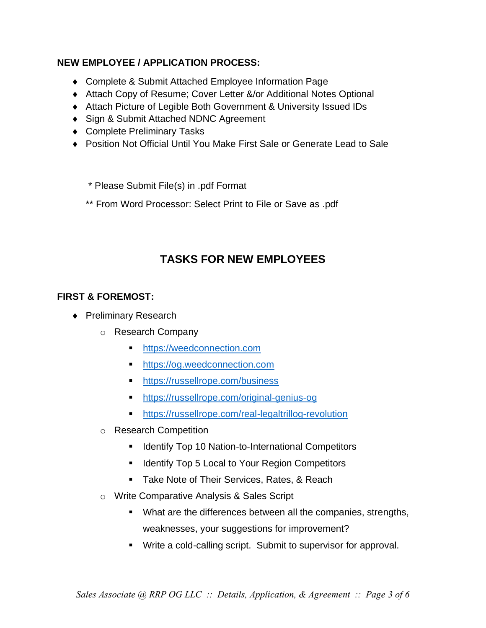### **NEW EMPLOYEE / APPLICATION PROCESS:**

- Complete & Submit Attached Employee Information Page
- Attach Copy of Resume; Cover Letter &/or Additional Notes Optional
- Attach Picture of Legible Both Government & University Issued IDs
- ◆ Sign & Submit Attached NDNC Agreement
- ◆ Complete Preliminary Tasks
- ◆ Position Not Official Until You Make First Sale or Generate Lead to Sale
	- \* Please Submit File(s) in .pdf Format
	- \*\* From Word Processor: Select Print to File or Save as .pdf

# **TASKS FOR NEW EMPLOYEES**

### **FIRST & FOREMOST:**

- ◆ Preliminary Research
	- o Research Company
		- [https://weedconnection.com](https://weedconnection.com/)
		- [https://og.weedconnection.com](https://og.weedconnection.com/)
		- <https://russellrope.com/business>
		- <https://russellrope.com/original-genius-og>
		- <https://russellrope.com/real-legaltrillog-revolution>
	- o Research Competition
		- Identify Top 10 Nation-to-International Competitors
		- Identify Top 5 Local to Your Region Competitors
		- **E** Take Note of Their Services, Rates, & Reach
	- o Write Comparative Analysis & Sales Script
		- What are the differences between all the companies, strengths, weaknesses, your suggestions for improvement?
		- Write a cold-calling script. Submit to supervisor for approval.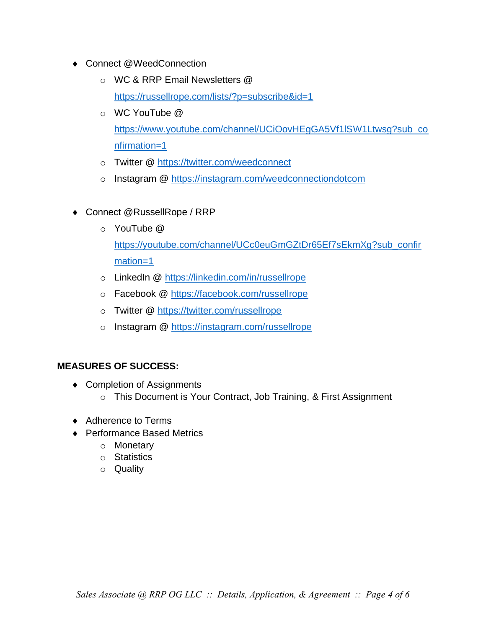- ◆ Connect @WeedConnection
	- o WC & RRP Email Newsletters @ <https://russellrope.com/lists/?p=subscribe&id=1>
	- o WC YouTube @ [https://www.youtube.com/channel/UCiOovHEgGA5Vf1lSW1Ltwsg?sub\\_co](https://www.youtube.com/channel/UCiOovHEgGA5Vf1lSW1Ltwsg?sub_confirmation=1) [nfirmation=1](https://www.youtube.com/channel/UCiOovHEgGA5Vf1lSW1Ltwsg?sub_confirmation=1)
	- o Twitter @<https://twitter.com/weedconnect>
	- o Instagram @<https://instagram.com/weedconnectiondotcom>
- Connect @RussellRope / RRP
	- $\circ$  YouTube  $\omega$ [https://youtube.com/channel/UCc0euGmGZtDr65Ef7sEkmXg?sub\\_confir](https://youtube.com/channel/UCc0euGmGZtDr65Ef7sEkmXg?sub_confirmation=1) [mation=1](https://youtube.com/channel/UCc0euGmGZtDr65Ef7sEkmXg?sub_confirmation=1)
	- o LinkedIn @<https://linkedin.com/in/russellrope>
	- o Facebook @<https://facebook.com/russellrope>
	- o Twitter @<https://twitter.com/russellrope>
	- o Instagram @<https://instagram.com/russellrope>

### **MEASURES OF SUCCESS:**

- ◆ Completion of Assignments
	- o This Document is Your Contract, Job Training, & First Assignment
- ◆ Adherence to Terms
- ◆ Performance Based Metrics
	- o Monetary
	- o Statistics
	- o Quality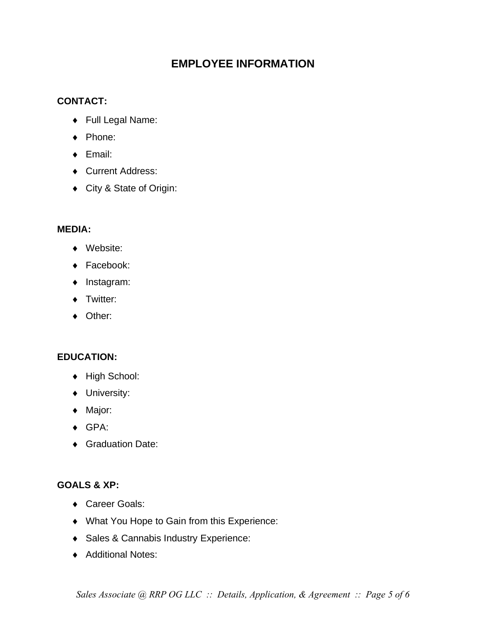# **EMPLOYEE INFORMATION**

### **CONTACT:**

- Full Legal Name:
- ◆ Phone:
- ◆ Email:
- ◆ Current Address:
- City & State of Origin:

### **MEDIA:**

- Website:
- ◆ Facebook:
- Instagram:
- ◆ Twitter:
- ◆ Other:

## **EDUCATION:**

- ◆ High School:
- ◆ University:
- ◆ Major:
- GPA:
- ◆ Graduation Date:

### **GOALS & XP:**

- ◆ Career Goals:
- What You Hope to Gain from this Experience:
- Sales & Cannabis Industry Experience:
- ◆ Additional Notes: